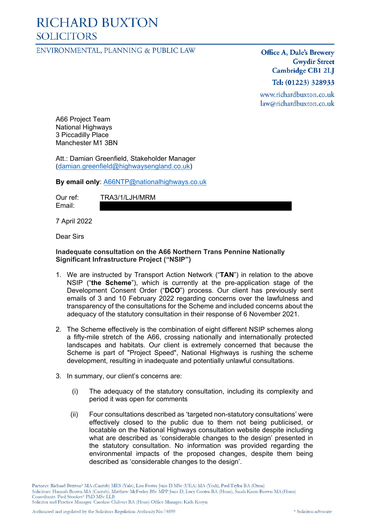# **RICHARD BUXTON SOLICITORS**

ENVIRONMENTAL, PLANNING & PUBLIC LAW

Office A, Dale's Brewery **Gwydir Street Cambridge CB1 2LJ** 

Tel: (01223) 328933

www.richardbuxton.co.uk law@richardbuxton.co.uk

A66 Project Team National Highways 3 Piccadilly Place Manchester M1 3BN

Att.: Damian Greenfield, Stakeholder Manager (damian.greenfield@highwaysengland.co.uk)

#### **By email only**: A66NTP@nationalhighways.co.uk

Email:

Our ref: TRA3/1/LJH/MRM

7 April 2022

Dear Sirs

#### **Inadequate consultation on the A66 Northern Trans Pennine Nationally Significant Infrastructure Project ("NSIP")**

- 1. We are instructed by Transport Action Network ("**TAN**") in relation to the above NSIP ("**the Scheme**"), which is currently at the pre-application stage of the Development Consent Order ("**DCO**") process. Our client has previously sent emails of 3 and 10 February 2022 regarding concerns over the lawfulness and transparency of the consultations for the Scheme and included concerns about the adequacy of the statutory consultation in their response of 6 November 2021.
- 2. The Scheme effectively is the combination of eight different NSIP schemes along a fifty-mile stretch of the A66, crossing nationally and internationally protected landscapes and habitats. Our client is extremely concerned that because the Scheme is part of "Project Speed", National Highways is rushing the scheme development, resulting in inadequate and potentially unlawful consultations.
- 3. In summary, our client's concerns are:
	- (i) The adequacy of the statutory consultation, including its complexity and period it was open for comments
	- (ii) Four consultations described as 'targeted non-statutory consultations' were effectively closed to the public due to them not being publicised, or locatable on the National Highways consultation website despite including what are described as 'considerable changes to the design' presented in the statutory consultation. No information was provided regarding the environmental impacts of the proposed changes, despite them being described as 'considerable changes to the design'.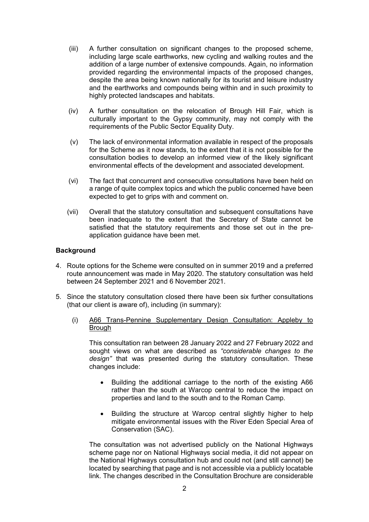- (iii) A further consultation on significant changes to the proposed scheme, including large scale earthworks, new cycling and walking routes and the addition of a large number of extensive compounds. Again, no information provided regarding the environmental impacts of the proposed changes, despite the area being known nationally for its tourist and leisure industry and the earthworks and compounds being within and in such proximity to highly protected landscapes and habitats.
- (iv) A further consultation on the relocation of Brough Hill Fair, which is culturally important to the Gypsy community, may not comply with the requirements of the Public Sector Equality Duty.
- (v) The lack of environmental information available in respect of the proposals for the Scheme as it now stands, to the extent that it is not possible for the consultation bodies to develop an informed view of the likely significant environmental effects of the development and associated development.
- (vi) The fact that concurrent and consecutive consultations have been held on a range of quite complex topics and which the public concerned have been expected to get to grips with and comment on.
- (vii) Overall that the statutory consultation and subsequent consultations have been inadequate to the extent that the Secretary of State cannot be satisfied that the statutory requirements and those set out in the preapplication guidance have been met.

### **Background**

- 4. Route options for the Scheme were consulted on in summer 2019 and a preferred route announcement was made in May 2020. The statutory consultation was held between 24 September 2021 and 6 November 2021.
- 5. Since the statutory consultation closed there have been six further consultations (that our client is aware of), including (in summary):
	- (i) A66 Trans-Pennine Supplementary Design Consultation: Appleby to **Brough**

This consultation ran between 28 January 2022 and 27 February 2022 and sought views on what are described as *"considerable changes to the design"* that was presented during the statutory consultation. These changes include:

- Building the additional carriage to the north of the existing A66 rather than the south at Warcop central to reduce the impact on properties and land to the south and to the Roman Camp.
- Building the structure at Warcop central slightly higher to help mitigate environmental issues with the River Eden Special Area of Conservation (SAC).

The consultation was not advertised publicly on the National Highways scheme page nor on National Highways social media, it did not appear on the National Highways consultation hub and could not (and still cannot) be located by searching that page and is not accessible via a publicly locatable link. The changes described in the Consultation Brochure are considerable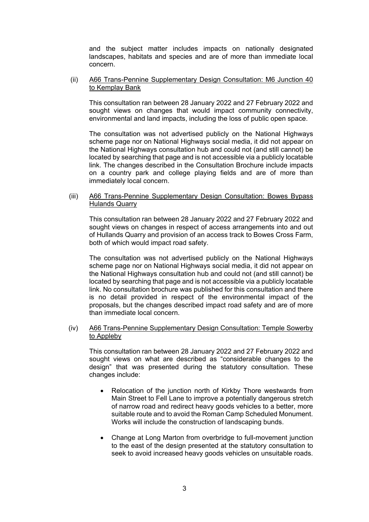and the subject matter includes impacts on nationally designated landscapes, habitats and species and are of more than immediate local concern.

#### (ii) A66 Trans-Pennine Supplementary Design Consultation: M6 Junction 40 to Kemplay Bank

This consultation ran between 28 January 2022 and 27 February 2022 and sought views on changes that would impact community connectivity, environmental and land impacts, including the loss of public open space.

The consultation was not advertised publicly on the National Highways scheme page nor on National Highways social media, it did not appear on the National Highways consultation hub and could not (and still cannot) be located by searching that page and is not accessible via a publicly locatable link. The changes described in the Consultation Brochure include impacts on a country park and college playing fields and are of more than immediately local concern.

#### (iii) A66 Trans-Pennine Supplementary Design Consultation: Bowes Bypass Hulands Quarry

This consultation ran between 28 January 2022 and 27 February 2022 and sought views on changes in respect of access arrangements into and out of Hullands Quarry and provision of an access track to Bowes Cross Farm, both of which would impact road safety.

The consultation was not advertised publicly on the National Highways scheme page nor on National Highways social media, it did not appear on the National Highways consultation hub and could not (and still cannot) be located by searching that page and is not accessible via a publicly locatable link. No consultation brochure was published for this consultation and there is no detail provided in respect of the environmental impact of the proposals, but the changes described impact road safety and are of more than immediate local concern.

### (iv) A66 Trans-Pennine Supplementary Design Consultation: Temple Sowerby to Appleby

This consultation ran between 28 January 2022 and 27 February 2022 and sought views on what are described as "considerable changes to the design" that was presented during the statutory consultation. These changes include:

- Relocation of the junction north of Kirkby Thore westwards from Main Street to Fell Lane to improve a potentially dangerous stretch of narrow road and redirect heavy goods vehicles to a better, more suitable route and to avoid the Roman Camp Scheduled Monument. Works will include the construction of landscaping bunds.
- Change at Long Marton from overbridge to full-movement junction to the east of the design presented at the statutory consultation to seek to avoid increased heavy goods vehicles on unsuitable roads.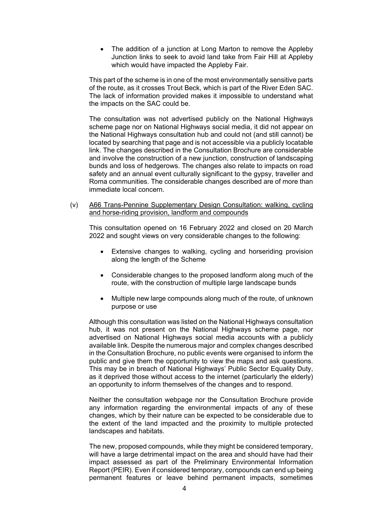The addition of a junction at Long Marton to remove the Appleby Junction links to seek to avoid land take from Fair Hill at Appleby which would have impacted the Appleby Fair.

This part of the scheme is in one of the most environmentally sensitive parts of the route, as it crosses Trout Beck, which is part of the River Eden SAC. The lack of information provided makes it impossible to understand what the impacts on the SAC could be.

The consultation was not advertised publicly on the National Highways scheme page nor on National Highways social media, it did not appear on the National Highways consultation hub and could not (and still cannot) be located by searching that page and is not accessible via a publicly locatable link. The changes described in the Consultation Brochure are considerable and involve the construction of a new junction, construction of landscaping bunds and loss of hedgerows. The changes also relate to impacts on road safety and an annual event culturally significant to the gypsy, traveller and Roma communities. The considerable changes described are of more than immediate local concern.

(v) A66 Trans-Pennine Supplementary Design Consultation: walking, cycling and horse-riding provision, landform and compounds

This consultation opened on 16 February 2022 and closed on 20 March 2022 and sought views on very considerable changes to the following:

- Extensive changes to walking, cycling and horseriding provision along the length of the Scheme
- Considerable changes to the proposed landform along much of the route, with the construction of multiple large landscape bunds
- Multiple new large compounds along much of the route, of unknown purpose or use

Although this consultation was listed on the National Highways consultation hub, it was not present on the National Highways scheme page, nor advertised on National Highways social media accounts with a publicly available link. Despite the numerous major and complex changes described in the Consultation Brochure, no public events were organised to inform the public and give them the opportunity to view the maps and ask questions. This may be in breach of National Highways' Public Sector Equality Duty, as it deprived those without access to the internet (particularly the elderly) an opportunity to inform themselves of the changes and to respond.

Neither the consultation webpage nor the Consultation Brochure provide any information regarding the environmental impacts of any of these changes, which by their nature can be expected to be considerable due to the extent of the land impacted and the proximity to multiple protected landscapes and habitats.

The new, proposed compounds, while they might be considered temporary, will have a large detrimental impact on the area and should have had their impact assessed as part of the Preliminary Environmental Information Report (PEIR). Even if considered temporary, compounds can end up being permanent features or leave behind permanent impacts, sometimes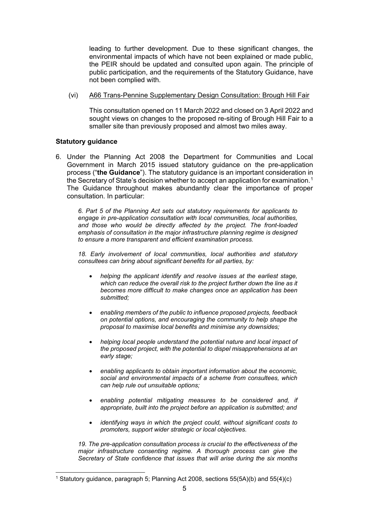leading to further development. Due to these significant changes, the environmental impacts of which have not been explained or made public, the PEIR should be updated and consulted upon again. The principle of public participation, and the requirements of the Statutory Guidance, have not been complied with.

(vi) A66 Trans-Pennine Supplementary Design Consultation: Brough Hill Fair

This consultation opened on 11 March 2022 and closed on 3 April 2022 and sought views on changes to the proposed re-siting of Brough Hill Fair to a smaller site than previously proposed and almost two miles away.

# **Statutory guidance**

6. Under the Planning Act 2008 the Department for Communities and Local Government in March 2015 issued statutory guidance on the pre-application process ("**the Guidance**"). The statutory guidance is an important consideration in the Secretary of State's decision whether to accept an application for examination.1 The Guidance throughout makes abundantly clear the importance of proper consultation. In particular:

*6. Part 5 of the Planning Act sets out statutory requirements for applicants to engage in pre-application consultation with local communities, local authorities, and those who would be directly affected by the project. The front-loaded emphasis of consultation in the major infrastructure planning regime is designed to ensure a more transparent and efficient examination process.*

*18. Early involvement of local communities, local authorities and statutory consultees can bring about significant benefits for all parties, by:*

- *helping the applicant identify and resolve issues at the earliest stage, which can reduce the overall risk to the project further down the line as it becomes more difficult to make changes once an application has been submitted;*
- *enabling members of the public to influence proposed projects, feedback on potential options, and encouraging the community to help shape the proposal to maximise local benefits and minimise any downsides;*
- *helping local people understand the potential nature and local impact of the proposed project, with the potential to dispel misapprehensions at an early stage;*
- *enabling applicants to obtain important information about the economic, social and environmental impacts of a scheme from consultees, which can help rule out unsuitable options;*
- *enabling potential mitigating measures to be considered and, if appropriate, built into the project before an application is submitted; and*
- *identifying ways in which the project could, without significant costs to promoters, support wider strategic or local objectives.*

*19. The pre-application consultation process is crucial to the effectiveness of the major infrastructure consenting regime. A thorough process can give the Secretary of State confidence that issues that will arise during the six months* 

<sup>&</sup>lt;sup>1</sup> Statutory guidance, paragraph 5; Planning Act 2008, sections  $55(5A)(b)$  and  $55(4)(c)$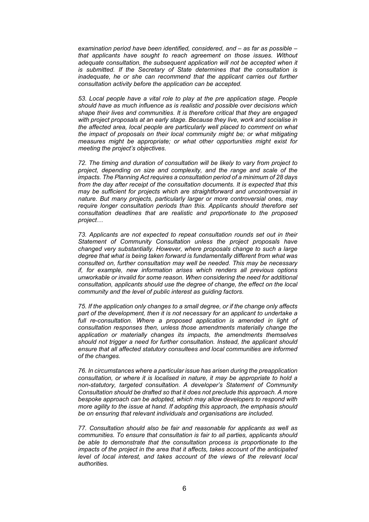*examination period have been identified, considered, and – as far as possible – that applicants have sought to reach agreement on those issues. Without adequate consultation, the subsequent application will not be accepted when it is submitted. If the Secretary of State determines that the consultation is inadequate, he or she can recommend that the applicant carries out further consultation activity before the application can be accepted.*

*53. Local people have a vital role to play at the pre application stage. People should have as much influence as is realistic and possible over decisions which shape their lives and communities. It is therefore critical that they are engaged with project proposals at an early stage. Because they live, work and socialise in the affected area, local people are particularly well placed to comment on what the impact of proposals on their local community might be; or what mitigating measures might be appropriate; or what other opportunities might exist for meeting the project's objectives.*

*72. The timing and duration of consultation will be likely to vary from project to project, depending on size and complexity, and the range and scale of the impacts. The Planning Act requires a consultation period of a minimum of 28 days from the day after receipt of the consultation documents. It is expected that this may be sufficient for projects which are straightforward and uncontroversial in nature. But many projects, particularly larger or more controversial ones, may require longer consultation periods than this. Applicants should therefore set consultation deadlines that are realistic and proportionate to the proposed project…*

*73. Applicants are not expected to repeat consultation rounds set out in their Statement of Community Consultation unless the project proposals have changed very substantially. However, where proposals change to such a large degree that what is being taken forward is fundamentally different from what was consulted on, further consultation may well be needed. This may be necessary if, for example, new information arises which renders all previous options unworkable or invalid for some reason. When considering the need for additional consultation, applicants should use the degree of change, the effect on the local community and the level of public interest as guiding factors.*

*75. If the application only changes to a small degree, or if the change only affects part of the development, then it is not necessary for an applicant to undertake a*  full re-consultation. Where a proposed application is amended in light of *consultation responses then, unless those amendments materially change the application or materially changes its impacts, the amendments themselves should not trigger a need for further consultation. Instead, the applicant should ensure that all affected statutory consultees and local communities are informed of the changes.* 

*76. In circumstances where a particular issue has arisen during the preapplication consultation, or where it is localised in nature, it may be appropriate to hold a non-statutory, targeted consultation. A developer's Statement of Community Consultation should be drafted so that it does not preclude this approach. A more bespoke approach can be adopted, which may allow developers to respond with more agility to the issue at hand. If adopting this approach, the emphasis should be on ensuring that relevant individuals and organisations are included.*

*77. Consultation should also be fair and reasonable for applicants as well as communities. To ensure that consultation is fair to all parties, applicants should be able to demonstrate that the consultation process is proportionate to the impacts of the project in the area that it affects, takes account of the anticipated level of local interest, and takes account of the views of the relevant local authorities.*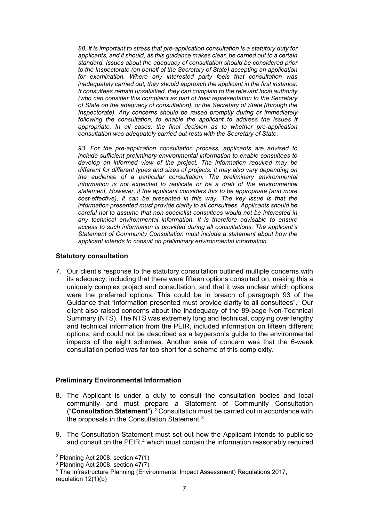*88. It is important to stress that pre-application consultation is a statutory duty for applicants, and it should, as this guidance makes clear, be carried out to a certain standard. Issues about the adequacy of consultation should be considered prior to the Inspectorate (on behalf of the Secretary of State) accepting an application for examination. Where any interested party feels that consultation was inadequately carried out, they should approach the applicant in the first instance. If consultees remain unsatisfied, they can complain to the relevant local authority (who can consider this complaint as part of their representation to the Secretary of State on the adequacy of consultation), or the Secretary of State (through the Inspectorate). Any concerns should be raised promptly during or immediately following the consultation, to enable the applicant to address the issues if appropriate. In all cases, the final decision as to whether pre-application consultation was adequately carried out rests with the Secretary of State.*

*93. For the pre-application consultation process, applicants are advised to include sufficient preliminary environmental information to enable consultees to develop an informed view of the project. The information required may be different for different types and sizes of projects. It may also vary depending on the audience of a particular consultation. The preliminary environmental information is not expected to replicate or be a draft of the environmental statement. However, if the applicant considers this to be appropriate (and more cost-effective), it can be presented in this way. The key issue is that the information presented must provide clarity to all consultees. Applicants should be careful not to assume that non-specialist consultees would not be interested in any technical environmental information. It is therefore advisable to ensure access to such information is provided during all consultations. The applicant's Statement of Community Consultation must include a statement about how the applicant intends to consult on preliminary environmental information.*

#### **Statutory consultation**

7. Our client's response to the statutory consultation outlined multiple concerns with its adequacy, including that there were fifteen options consulted on, making this a uniquely complex project and consultation, and that it was unclear which options were the preferred options. This could be in breach of paragraph 93 of the Guidance that "information presented must provide clarity to all consultees". Our client also raised concerns about the inadequacy of the 89-page Non-Technical Summary (NTS). The NTS was extremely long and technical, copying over lengthy and technical information from the PEIR, included information on fifteen different options, and could not be described as a layperson's guide to the environmental impacts of the eight schemes. Another area of concern was that the 6-week consultation period was far too short for a scheme of this complexity.

# **Preliminary Environmental Information**

- 8. The Applicant is under a duty to consult the consultation bodies and local community and must prepare a Statement of Community Consultation ("**Consultation Statement**").2 Consultation must be carried out in accordance with the proposals in the Consultation Statement.3
- 9. The Consultation Statement must set out how the Applicant intends to publicise and consult on the PEIR, $4$  which must contain the information reasonably required

<sup>2</sup> Planning Act 2008, section 47(1)

<sup>3</sup> Planning Act 2008, section 47(7)

<sup>4</sup> The Infrastructure Planning (Environmental Impact Assessment) Regulations 2017, regulation 12(1)(b)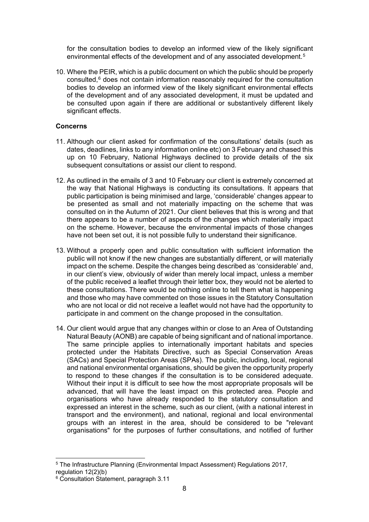for the consultation bodies to develop an informed view of the likely significant environmental effects of the development and of any associated development.5

10. Where the PEIR, which is a public document on which the public should be properly consulted,6 does not contain information reasonably required for the consultation bodies to develop an informed view of the likely significant environmental effects of the development and of any associated development, it must be updated and be consulted upon again if there are additional or substantively different likely significant effects.

# **Concerns**

- 11. Although our client asked for confirmation of the consultations' details (such as dates, deadlines, links to any information online etc) on 3 February and chased this up on 10 February, National Highways declined to provide details of the six subsequent consultations or assist our client to respond.
- 12. As outlined in the emails of 3 and 10 February our client is extremely concerned at the way that National Highways is conducting its consultations. It appears that public participation is being minimised and large, 'considerable' changes appear to be presented as small and not materially impacting on the scheme that was consulted on in the Autumn of 2021. Our client believes that this is wrong and that there appears to be a number of aspects of the changes which materially impact on the scheme. However, because the environmental impacts of those changes have not been set out, it is not possible fully to understand their significance.
- 13. Without a properly open and public consultation with sufficient information the public will not know if the new changes are substantially different, or will materially impact on the scheme. Despite the changes being described as 'considerable' and, in our client's view, obviously of wider than merely local impact, unless a member of the public received a leaflet through their letter box, they would not be alerted to these consultations. There would be nothing online to tell them what is happening and those who may have commented on those issues in the Statutory Consultation who are not local or did not receive a leaflet would not have had the opportunity to participate in and comment on the change proposed in the consultation.
- 14. Our client would argue that any changes within or close to an Area of Outstanding Natural Beauty (AONB) are capable of being significant and of national importance. The same principle applies to internationally important habitats and species protected under the Habitats Directive, such as Special Conservation Areas (SACs) and Special Protection Areas (SPAs). The public, including, local, regional and national environmental organisations, should be given the opportunity properly to respond to these changes if the consultation is to be considered adequate. Without their input it is difficult to see how the most appropriate proposals will be advanced, that will have the least impact on this protected area. People and organisations who have already responded to the statutory consultation and expressed an interest in the scheme, such as our client, (with a national interest in transport and the environment), and national, regional and local environmental groups with an interest in the area, should be considered to be "relevant organisations" for the purposes of further consultations, and notified of further

<sup>5</sup> The Infrastructure Planning (Environmental Impact Assessment) Regulations 2017, regulation 12(2)(b)

<sup>6</sup> Consultation Statement, paragraph 3.11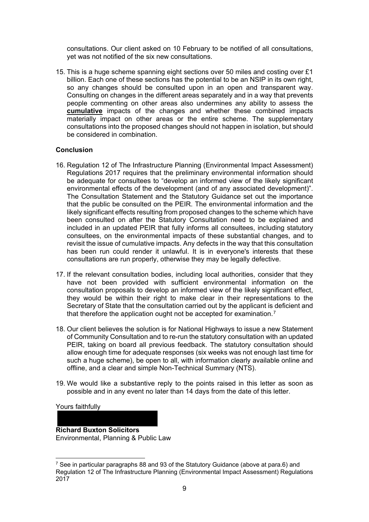consultations. Our client asked on 10 February to be notified of all consultations, yet was not notified of the six new consultations.

15. This is a huge scheme spanning eight sections over 50 miles and costing over £1 billion. Each one of these sections has the potential to be an NSIP in its own right. so any changes should be consulted upon in an open and transparent way. Consulting on changes in the different areas separately and in a way that prevents people commenting on other areas also undermines any ability to assess the **cumulative** impacts of the changes and whether these combined impacts materially impact on other areas or the entire scheme. The supplementary consultations into the proposed changes should not happen in isolation, but should be considered in combination.

### **Conclusion**

- 16. Regulation 12 of The Infrastructure Planning (Environmental Impact Assessment) Regulations 2017 requires that the preliminary environmental information should be adequate for consultees to "develop an informed view of the likely significant environmental effects of the development (and of any associated development)". The Consultation Statement and the Statutory Guidance set out the importance that the public be consulted on the PEIR. The environmental information and the likely significant effects resulting from proposed changes to the scheme which have been consulted on after the Statutory Consultation need to be explained and included in an updated PEIR that fully informs all consultees, including statutory consultees, on the environmental impacts of these substantial changes, and to revisit the issue of cumulative impacts. Any defects in the way that this consultation has been run could render it unlawful. It is in everyone's interests that these consultations are run properly, otherwise they may be legally defective.
- 17. If the relevant consultation bodies, including local authorities, consider that they have not been provided with sufficient environmental information on the consultation proposals to develop an informed view of the likely significant effect, they would be within their right to make clear in their representations to the Secretary of State that the consultation carried out by the applicant is deficient and that therefore the application ought not be accepted for examination.<sup>7</sup>
- 18. Our client believes the solution is for National Highways to issue a new Statement of Community Consultation and to re-run the statutory consultation with an updated PEIR, taking on board all previous feedback. The statutory consultation should allow enough time for adequate responses (six weeks was not enough last time for such a huge scheme), be open to all, with information clearly available online and offline, and a clear and simple Non-Technical Summary (NTS).
- 19. We would like a substantive reply to the points raised in this letter as soon as possible and in any event no later than 14 days from the date of this letter.

Yours faithfully

**Richard Buxton Solicitors** Environmental, Planning & Public Law

<sup>&</sup>lt;sup>7</sup> See in particular paragraphs 88 and 93 of the Statutory Guidance (above at para.6) and Regulation 12 of The Infrastructure Planning (Environmental Impact Assessment) Regulations 2017